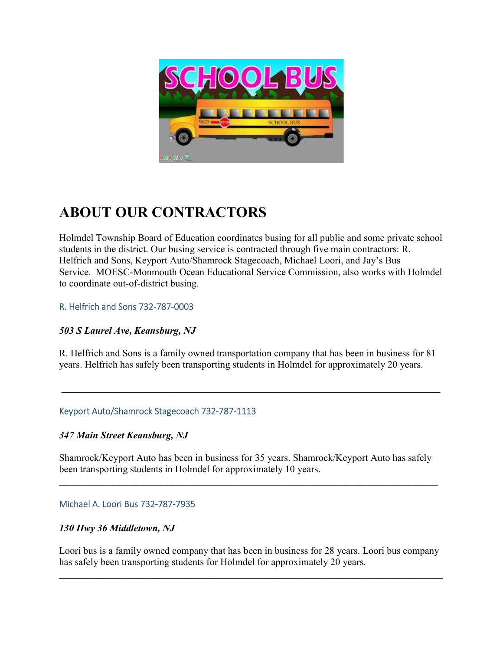

# ABOUT OUR CONTRACTORS

Holmdel Township Board of Education coordinates busing for all public and some private school students in the district. Our busing service is contracted through five main contractors: R. Helfrich and Sons, Keyport Auto/Shamrock Stagecoach, Michael Loori, and Jay's Bus Service. MOESC-Monmouth Ocean Educational Service Commission, also works with Holmdel to coordinate out-of-district busing.

## R. Helfrich and Sons 732-787-0003

## 503 S Laurel Ave, Keansburg, NJ

R. Helfrich and Sons is a family owned transportation company that has been in business for 81 years. Helfrich has safely been transporting students in Holmdel for approximately 20 years.

 $\mathcal{L}_\mathcal{L} = \mathcal{L}_\mathcal{L} = \mathcal{L}_\mathcal{L} = \mathcal{L}_\mathcal{L} = \mathcal{L}_\mathcal{L} = \mathcal{L}_\mathcal{L} = \mathcal{L}_\mathcal{L} = \mathcal{L}_\mathcal{L} = \mathcal{L}_\mathcal{L} = \mathcal{L}_\mathcal{L} = \mathcal{L}_\mathcal{L} = \mathcal{L}_\mathcal{L} = \mathcal{L}_\mathcal{L} = \mathcal{L}_\mathcal{L} = \mathcal{L}_\mathcal{L} = \mathcal{L}_\mathcal{L} = \mathcal{L}_\mathcal{L}$ 

## Keyport Auto/Shamrock Stagecoach 732-787-1113

## 347 Main Street Keansburg, NJ

Shamrock/Keyport Auto has been in business for 35 years. Shamrock/Keyport Auto has safely been transporting students in Holmdel for approximately 10 years.

 $\mathcal{L}_\mathcal{L} = \mathcal{L}_\mathcal{L} = \mathcal{L}_\mathcal{L} = \mathcal{L}_\mathcal{L} = \mathcal{L}_\mathcal{L} = \mathcal{L}_\mathcal{L} = \mathcal{L}_\mathcal{L} = \mathcal{L}_\mathcal{L} = \mathcal{L}_\mathcal{L} = \mathcal{L}_\mathcal{L} = \mathcal{L}_\mathcal{L} = \mathcal{L}_\mathcal{L} = \mathcal{L}_\mathcal{L} = \mathcal{L}_\mathcal{L} = \mathcal{L}_\mathcal{L} = \mathcal{L}_\mathcal{L} = \mathcal{L}_\mathcal{L}$ 

## Michael A. Loori Bus 732-787-7935

## 130 Hwy 36 Middletown, NJ

Loori bus is a family owned company that has been in business for 28 years. Loori bus company has safely been transporting students for Holmdel for approximately 20 years.

 $\mathcal{L}_\mathcal{L} = \{ \mathcal{L}_\mathcal{L} = \{ \mathcal{L}_\mathcal{L} = \{ \mathcal{L}_\mathcal{L} = \{ \mathcal{L}_\mathcal{L} = \{ \mathcal{L}_\mathcal{L} = \{ \mathcal{L}_\mathcal{L} = \{ \mathcal{L}_\mathcal{L} = \{ \mathcal{L}_\mathcal{L} = \{ \mathcal{L}_\mathcal{L} = \{ \mathcal{L}_\mathcal{L} = \{ \mathcal{L}_\mathcal{L} = \{ \mathcal{L}_\mathcal{L} = \{ \mathcal{L}_\mathcal{L} = \{ \mathcal{L}_\mathcal{$